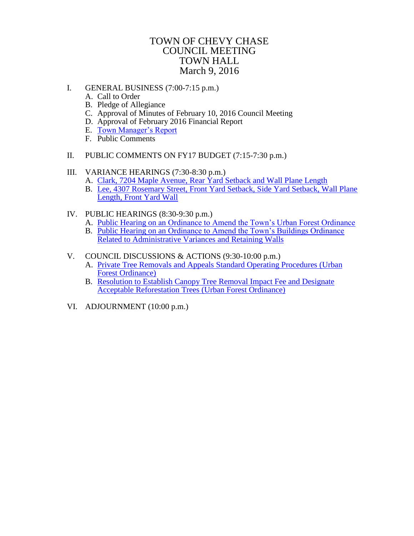# TOWN OF CHEVY CHASE COUNCIL MEETING TOWN HALL March 9, 2016

- I. GENERAL BUSINESS (7:00-7:15 p.m.)
	- A. Call to Order
	- B. Pledge of Allegiance
	- C. Approval of Minutes of February 10, 2016 Council Meeting
	- D. Approval of February 2016 Financial Report
	- E. [Town Manager's Report](#page-1-0)
	- F. Public Comments
- II. PUBLIC COMMENTS ON FY17 BUDGET (7:15-7:30 p.m.)
- III. VARIANCE HEARINGS (7:30-8:30 p.m.)
	- A. [Clark, 7204 Maple Avenue, Rear Yard Setback and Wall Plane Length](#page-2-0)
	- B. [Lee, 4307 Rosemary Street, Front Yard Setback, Side Yard Setback, Wall Plane](#page-4-0)  Length, Front Yard Wall
- IV. PUBLIC HEARINGS (8:30-9:30 p.m.)
	- A. [Public Hearing on an Ordinance to Amend the Town's Urban Forest Ordinance](http://www.townofchevychase.org/CivicAlerts.aspx?AID=142)
	- B. [Public Hearing on an Ordinance to Amend the Town's Buildings Ordinance](#page-6-0)  Related to Administrative Variances and Retaining Walls
- V. COUNCIL DISCUSSIONS & ACTIONS (9:30-10:00 p.m.)
	- A. [Private Tree Removals and Appeals Standard Operating Procedures](#page-13-0) (Urban Forest Ordinance)
	- B. [Resolution to Establish Canopy Tree Removal Impact Fee and Designate](#page-17-0)  Acceptable Reforestation Trees (Urban Forest Ordinance)
- VI. ADJOURNMENT (10:00 p.m.)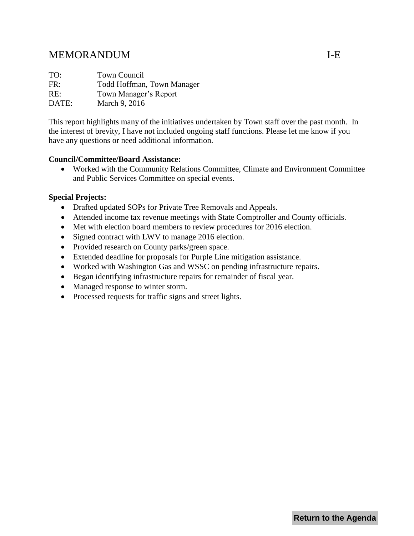# <span id="page-1-0"></span>MEMORANDUM I-E

| TO:   | Town Council               |
|-------|----------------------------|
| FR:   | Todd Hoffman, Town Manager |
| RE:   | Town Manager's Report      |
| DATE: | March 9, 2016              |

This report highlights many of the initiatives undertaken by Town staff over the past month. In the interest of brevity, I have not included ongoing staff functions. Please let me know if you have any questions or need additional information.

#### **Council/Committee/Board Assistance:**

 Worked with the Community Relations Committee, Climate and Environment Committee and Public Services Committee on special events.

# **Special Projects:**

- Drafted updated SOPs for Private Tree Removals and Appeals.
- Attended income tax revenue meetings with State Comptroller and County officials.
- Met with election board members to review procedures for 2016 election.
- Signed contract with LWV to manage 2016 election.
- Provided research on County parks/green space.
- Extended deadline for proposals for Purple Line mitigation assistance.
- Worked with Washington Gas and WSSC on pending infrastructure repairs.
- Began identifying infrastructure repairs for remainder of fiscal year.
- Managed response to winter storm.
- Processed requests for traffic signs and street lights.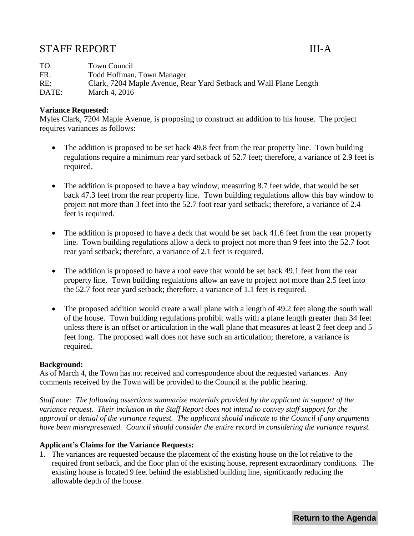# <span id="page-2-0"></span>STAFF REPORT III-A

TO: Town Council FR: Todd Hoffman, Town Manager RE: Clark, 7204 Maple Avenue, Rear Yard Setback and Wall Plane Length DATE: March 4, 2016

## **Variance Requested:**

Myles Clark, 7204 Maple Avenue, is proposing to construct an addition to his house. The project requires variances as follows:

- The addition is proposed to be set back 49.8 feet from the rear property line. Town building regulations require a minimum rear yard setback of 52.7 feet; therefore, a variance of 2.9 feet is required.
- The addition is proposed to have a bay window, measuring 8.7 feet wide, that would be set back 47.3 feet from the rear property line. Town building regulations allow this bay window to project not more than 3 feet into the 52.7 foot rear yard setback; therefore, a variance of 2.4 feet is required.
- The addition is proposed to have a deck that would be set back 41.6 feet from the rear property line. Town building regulations allow a deck to project not more than 9 feet into the 52.7 foot rear yard setback; therefore, a variance of 2.1 feet is required.
- The addition is proposed to have a roof eave that would be set back 49.1 feet from the rear property line. Town building regulations allow an eave to project not more than 2.5 feet into the 52.7 foot rear yard setback; therefore, a variance of 1.1 feet is required.
- The proposed addition would create a wall plane with a length of 49.2 feet along the south wall of the house. Town building regulations prohibit walls with a plane length greater than 34 feet unless there is an offset or articulation in the wall plane that measures at least 2 feet deep and 5 feet long. The proposed wall does not have such an articulation; therefore, a variance is required.

#### **Background:**

As of March 4, the Town has not received and correspondence about the requested variances. Any comments received by the Town will be provided to the Council at the public hearing.

*Staff note: The following assertions summarize materials provided by the applicant in support of the variance request. Their inclusion in the Staff Report does not intend to convey staff support for the approval or denial of the variance request. The applicant should indicate to the Council if any arguments have been misrepresented. Council should consider the entire record in considering the variance request.*

#### **Applicant's Claims for the Variance Requests:**

1. The variances are requested because the placement of the existing house on the lot relative to the required front setback, and the floor plan of the existing house, represent extraordinary conditions. The existing house is located 9 feet behind the established building line, significantly reducing the allowable depth of the house.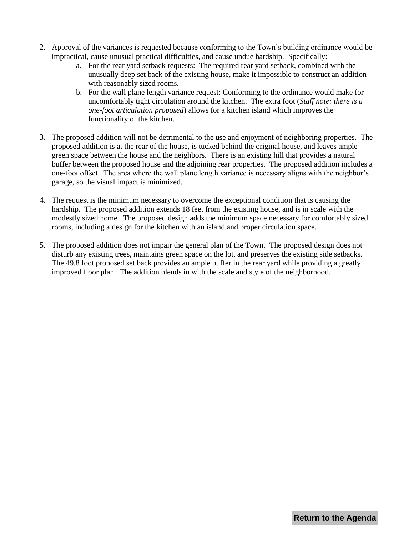- 2. Approval of the variances is requested because conforming to the Town's building ordinance would be impractical, cause unusual practical difficulties, and cause undue hardship. Specifically:
	- a. For the rear yard setback requests: The required rear yard setback, combined with the unusually deep set back of the existing house, make it impossible to construct an addition with reasonably sized rooms.
	- b. For the wall plane length variance request: Conforming to the ordinance would make for uncomfortably tight circulation around the kitchen. The extra foot (*Staff note: there is a one-foot articulation proposed*) allows for a kitchen island which improves the functionality of the kitchen.
- 3. The proposed addition will not be detrimental to the use and enjoyment of neighboring properties. The proposed addition is at the rear of the house, is tucked behind the original house, and leaves ample green space between the house and the neighbors. There is an existing hill that provides a natural buffer between the proposed house and the adjoining rear properties. The proposed addition includes a one-foot offset. The area where the wall plane length variance is necessary aligns with the neighbor's garage, so the visual impact is minimized.
- 4. The request is the minimum necessary to overcome the exceptional condition that is causing the hardship. The proposed addition extends 18 feet from the existing house, and is in scale with the modestly sized home. The proposed design adds the minimum space necessary for comfortably sized rooms, including a design for the kitchen with an island and proper circulation space.
- 5. The proposed addition does not impair the general plan of the Town. The proposed design does not disturb any existing trees, maintains green space on the lot, and preserves the existing side setbacks. The 49.8 foot proposed set back provides an ample buffer in the rear yard while providing a greatly improved floor plan. The addition blends in with the scale and style of the neighborhood.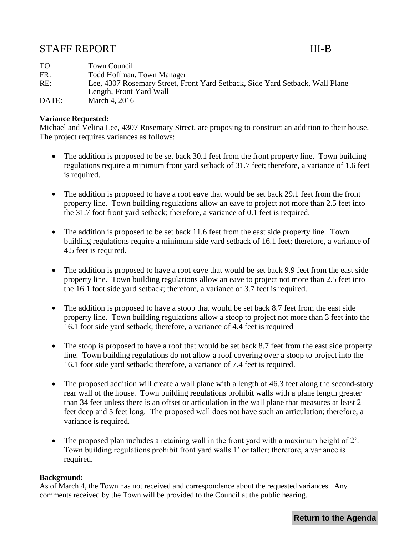# <span id="page-4-0"></span>STAFF REPORT III-B

TO: Town Council FR: Todd Hoffman, Town Manager RE: Lee, 4307 Rosemary Street, Front Yard Setback, Side Yard Setback, Wall Plane Length, Front Yard Wall DATE: March 4, 2016

## **Variance Requested:**

Michael and Velina Lee, 4307 Rosemary Street, are proposing to construct an addition to their house. The project requires variances as follows:

- The addition is proposed to be set back 30.1 feet from the front property line. Town building regulations require a minimum front yard setback of 31.7 feet; therefore, a variance of 1.6 feet is required.
- The addition is proposed to have a roof eave that would be set back 29.1 feet from the front property line. Town building regulations allow an eave to project not more than 2.5 feet into the 31.7 foot front yard setback; therefore, a variance of 0.1 feet is required.
- The addition is proposed to be set back 11.6 feet from the east side property line. Town building regulations require a minimum side yard setback of 16.1 feet; therefore, a variance of 4.5 feet is required.
- The addition is proposed to have a roof eave that would be set back 9.9 feet from the east side property line. Town building regulations allow an eave to project not more than 2.5 feet into the 16.1 foot side yard setback; therefore, a variance of 3.7 feet is required.
- The addition is proposed to have a stoop that would be set back 8.7 feet from the east side property line. Town building regulations allow a stoop to project not more than 3 feet into the 16.1 foot side yard setback; therefore, a variance of 4.4 feet is required
- The stoop is proposed to have a roof that would be set back 8.7 feet from the east side property line. Town building regulations do not allow a roof covering over a stoop to project into the 16.1 foot side yard setback; therefore, a variance of 7.4 feet is required.
- The proposed addition will create a wall plane with a length of 46.3 feet along the second-story rear wall of the house. Town building regulations prohibit walls with a plane length greater than 34 feet unless there is an offset or articulation in the wall plane that measures at least 2 feet deep and 5 feet long. The proposed wall does not have such an articulation; therefore, a variance is required.
- $\bullet$  The proposed plan includes a retaining wall in the front yard with a maximum height of 2'. Town building regulations prohibit front yard walls 1' or taller; therefore, a variance is required.

#### **Background:**

As of March 4, the Town has not received and correspondence about the requested variances. Any comments received by the Town will be provided to the Council at the public hearing.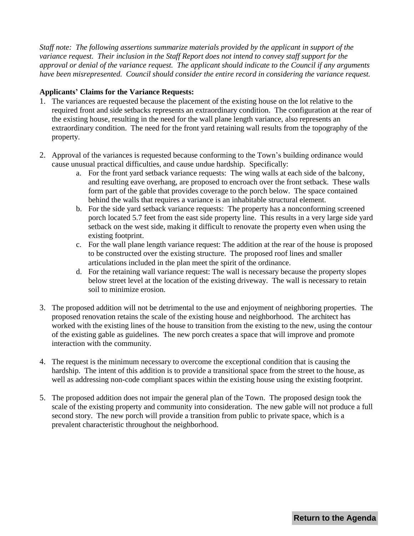*Staff note: The following assertions summarize materials provided by the applicant in support of the variance request. Their inclusion in the Staff Report does not intend to convey staff support for the approval or denial of the variance request. The applicant should indicate to the Council if any arguments have been misrepresented. Council should consider the entire record in considering the variance request.*

#### **Applicants' Claims for the Variance Requests:**

- 1. The variances are requested because the placement of the existing house on the lot relative to the required front and side setbacks represents an extraordinary condition. The configuration at the rear of the existing house, resulting in the need for the wall plane length variance, also represents an extraordinary condition. The need for the front yard retaining wall results from the topography of the property.
- 2. Approval of the variances is requested because conforming to the Town's building ordinance would cause unusual practical difficulties, and cause undue hardship. Specifically:
	- a. For the front yard setback variance requests: The wing walls at each side of the balcony, and resulting eave overhang, are proposed to encroach over the front setback. These walls form part of the gable that provides coverage to the porch below. The space contained behind the walls that requires a variance is an inhabitable structural element.
	- b. For the side yard setback variance requests: The property has a nonconforming screened porch located 5.7 feet from the east side property line. This results in a very large side yard setback on the west side, making it difficult to renovate the property even when using the existing footprint.
	- c. For the wall plane length variance request: The addition at the rear of the house is proposed to be constructed over the existing structure. The proposed roof lines and smaller articulations included in the plan meet the spirit of the ordinance.
	- d. For the retaining wall variance request: The wall is necessary because the property slopes below street level at the location of the existing driveway. The wall is necessary to retain soil to minimize erosion.
- 3. The proposed addition will not be detrimental to the use and enjoyment of neighboring properties. The proposed renovation retains the scale of the existing house and neighborhood. The architect has worked with the existing lines of the house to transition from the existing to the new, using the contour of the existing gable as guidelines. The new porch creates a space that will improve and promote interaction with the community.
- 4. The request is the minimum necessary to overcome the exceptional condition that is causing the hardship. The intent of this addition is to provide a transitional space from the street to the house, as well as addressing non-code compliant spaces within the existing house using the existing footprint.
- 5. The proposed addition does not impair the general plan of the Town. The proposed design took the scale of the existing property and community into consideration. The new gable will not produce a full second story. The new porch will provide a transition from public to private space, which is a prevalent characteristic throughout the neighborhood.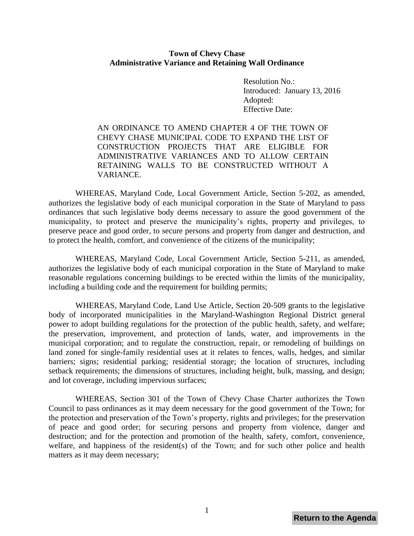#### <span id="page-6-0"></span>**Town of Chevy Chase Administrative Variance and Retaining Wall Ordinance**

Resolution No.: Introduced: January 13, 2016 Adopted: Effective Date:

AN ORDINANCE TO AMEND CHAPTER 4 OF THE TOWN OF CHEVY CHASE MUNICIPAL CODE TO EXPAND THE LIST OF CONSTRUCTION PROJECTS THAT ARE ELIGIBLE FOR ADMINISTRATIVE VARIANCES AND TO ALLOW CERTAIN RETAINING WALLS TO BE CONSTRUCTED WITHOUT A VARIANCE.

WHEREAS, Maryland Code, Local Government Article, Section 5-202, as amended, authorizes the legislative body of each municipal corporation in the State of Maryland to pass ordinances that such legislative body deems necessary to assure the good government of the municipality, to protect and preserve the municipality's rights, property and privileges, to preserve peace and good order, to secure persons and property from danger and destruction, and to protect the health, comfort, and convenience of the citizens of the municipality;

WHEREAS, Maryland Code, Local Government Article, Section 5-211, as amended, authorizes the legislative body of each municipal corporation in the State of Maryland to make reasonable regulations concerning buildings to be erected within the limits of the municipality, including a building code and the requirement for building permits;

WHEREAS, Maryland Code, Land Use Article, Section 20-509 grants to the legislative body of incorporated municipalities in the Maryland-Washington Regional District general power to adopt building regulations for the protection of the public health, safety, and welfare; the preservation, improvement, and protection of lands, water, and improvements in the municipal corporation; and to regulate the construction, repair, or remodeling of buildings on land zoned for single-family residential uses at it relates to fences, walls, hedges, and similar barriers; signs; residential parking; residential storage; the location of structures, including setback requirements; the dimensions of structures, including height, bulk, massing, and design; and lot coverage, including impervious surfaces;

WHEREAS, Section 301 of the Town of Chevy Chase Charter authorizes the Town Council to pass ordinances as it may deem necessary for the good government of the Town; for the protection and preservation of the Town's property, rights and privileges; for the preservation of peace and good order; for securing persons and property from violence, danger and destruction; and for the protection and promotion of the health, safety, comfort, convenience, welfare, and happiness of the resident(s) of the Town; and for such other police and health matters as it may deem necessary;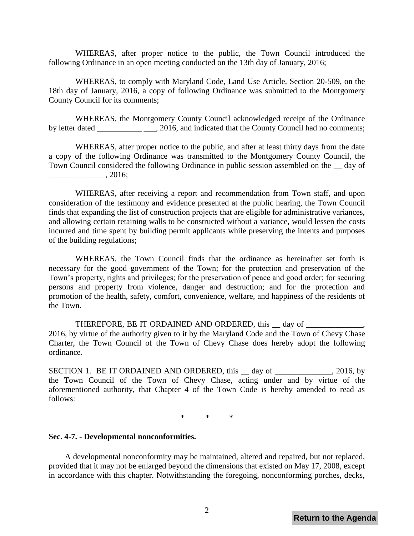WHEREAS, after proper notice to the public, the Town Council introduced the following Ordinance in an open meeting conducted on the 13th day of January, 2016;

WHEREAS, to comply with Maryland Code, Land Use Article, Section 20-509, on the 18th day of January, 2016, a copy of following Ordinance was submitted to the Montgomery County Council for its comments;

WHEREAS, the Montgomery County Council acknowledged receipt of the Ordinance by letter dated \_\_\_\_\_\_\_\_\_\_\_\_\_\_, 2016, and indicated that the County Council had no comments;

WHEREAS, after proper notice to the public, and after at least thirty days from the date a copy of the following Ordinance was transmitted to the Montgomery County Council, the Town Council considered the following Ordinance in public session assembled on the \_\_ day of  $\frac{1}{2016}$ ;

WHEREAS, after receiving a report and recommendation from Town staff, and upon consideration of the testimony and evidence presented at the public hearing, the Town Council finds that expanding the list of construction projects that are eligible for administrative variances, and allowing certain retaining walls to be constructed without a variance, would lessen the costs incurred and time spent by building permit applicants while preserving the intents and purposes of the building regulations;

WHEREAS, the Town Council finds that the ordinance as hereinafter set forth is necessary for the good government of the Town; for the protection and preservation of the Town's property, rights and privileges; for the preservation of peace and good order; for securing persons and property from violence, danger and destruction; and for the protection and promotion of the health, safety, comfort, convenience, welfare, and happiness of the residents of the Town.

THEREFORE, BE IT ORDAINED AND ORDERED, this day of 2016, by virtue of the authority given to it by the Maryland Code and the Town of Chevy Chase Charter, the Town Council of the Town of Chevy Chase does hereby adopt the following ordinance.

SECTION 1. BE IT ORDAINED AND ORDERED, this day of  $\qquad \qquad$ , 2016, by the Town Council of the Town of Chevy Chase, acting under and by virtue of the aforementioned authority, that Chapter 4 of the Town Code is hereby amended to read as follows:

\* \* \*

#### **Sec. 4-7. - Developmental nonconformities.**

A developmental nonconformity may be maintained, altered and repaired, but not replaced, provided that it may not be enlarged beyond the dimensions that existed on May 17, 2008, except in accordance with this chapter. Notwithstanding the foregoing, nonconforming porches, decks,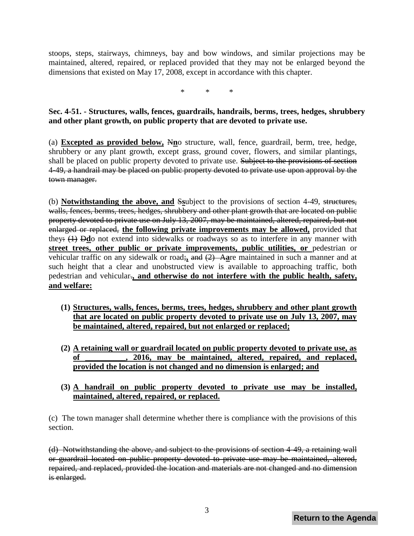stoops, steps, stairways, chimneys, bay and bow windows, and similar projections may be maintained, altered, repaired, or replaced provided that they may not be enlarged beyond the dimensions that existed on May 17, 2008, except in accordance with this chapter.

\* \* \*

# **Sec. 4-51. - Structures, walls, fences, guardrails, handrails, berms, trees, hedges, shrubbery and other plant growth, on public property that are devoted to private use.**

(a) **Excepted as provided below,** N**n**o structure, wall, fence, guardrail, berm, tree, hedge, shrubbery or any plant growth, except grass, ground cover, flowers, and similar plantings, shall be placed on public property devoted to private use. Subject to the provisions of section 4-49, a handrail may be placed on public property devoted to private use upon approval by the town manager.

(b) **Notwithstanding the above, and** S**s**ubject to the provisions of section 4-49, structures, walls, fences, berms, trees, hedges, shrubbery and other plant growth that are located on public property devoted to private use on July 13, 2007, may be maintained, altered, repaired, but not enlarged or replaced, **the following private improvements may be allowed,** provided that they: (1) D**d**o not extend into sidewalks or roadways so as to interfere in any manner with **street trees, other public or private improvements, public utilities, or** pedestrian or vehicular traffic on any sidewalk or road;**,** and (2) A**a**re maintained in such a manner and at such height that a clear and unobstructed view is available to approaching traffic, both pedestrian and vehicular.**, and otherwise do not interfere with the public health, safety, and welfare:** 

- **(1) Structures, walls, fences, berms, trees, hedges, shrubbery and other plant growth that are located on public property devoted to private use on July 13, 2007, may be maintained, altered, repaired, but not enlarged or replaced;**
- **(2) A retaining wall or guardrail located on public property devoted to private use, as of \_\_\_\_\_\_\_\_\_\_, 2016, may be maintained, altered, repaired, and replaced, provided the location is not changed and no dimension is enlarged; and**
- **(3) A handrail on public property devoted to private use may be installed, maintained, altered, repaired, or replaced.**

(c) The town manager shall determine whether there is compliance with the provisions of this section.

(d) Notwithstanding the above, and subject to the provisions of section 4-49, a retaining wall or guardrail located on public property devoted to private use may be maintained, altered, repaired, and replaced, provided the location and materials are not changed and no dimension is enlarged.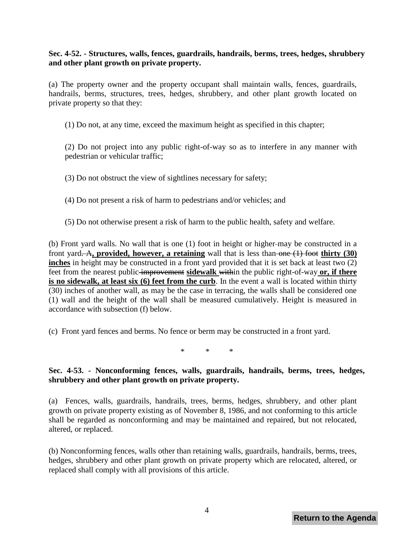# **Sec. 4-52. - Structures, walls, fences, guardrails, handrails, berms, trees, hedges, shrubbery and other plant growth on private property.**

(a) The property owner and the property occupant shall maintain walls, fences, guardrails, handrails, berms, structures, trees, hedges, shrubbery, and other plant growth located on private property so that they:

(1) Do not, at any time, exceed the maximum height as specified in this chapter;

(2) Do not project into any public right-of-way so as to interfere in any manner with pedestrian or vehicular traffic;

(3) Do not obstruct the view of sightlines necessary for safety;

(4) Do not present a risk of harm to pedestrians and/or vehicles; and

(5) Do not otherwise present a risk of harm to the public health, safety and welfare.

(b) Front yard walls. No wall that is one (1) foot in height or higher may be constructed in a front yard. A**, provided, however, a retaining** wall that is less than one (1) foot **thirty (30) inches** in height may be constructed in a front yard provided that it is set back at least two (2) feet from the nearest public improvement **sidewalk** within the public right-of-way **or, if there is no sidewalk, at least six (6) feet from the curb**. In the event a wall is located within thirty (30) inches of another wall, as may be the case in terracing, the walls shall be considered one (1) wall and the height of the wall shall be measured cumulatively. Height is measured in accordance with subsection (f) below.

(c) Front yard fences and berms. No fence or berm may be constructed in a front yard.

 $*$  \* \*

# **Sec. 4-53. - Nonconforming fences, walls, guardrails, handrails, berms, trees, hedges, shrubbery and other plant growth on private property.**

(a) Fences, walls, guardrails, handrails, trees, berms, hedges, shrubbery, and other plant growth on private property existing as of November 8, 1986, and not conforming to this article shall be regarded as nonconforming and may be maintained and repaired, but not relocated, altered, or replaced.

(b) Nonconforming fences, walls other than retaining walls, guardrails, handrails, berms, trees, hedges, shrubbery and other plant growth on private property which are relocated, altered, or replaced shall comply with all provisions of this article.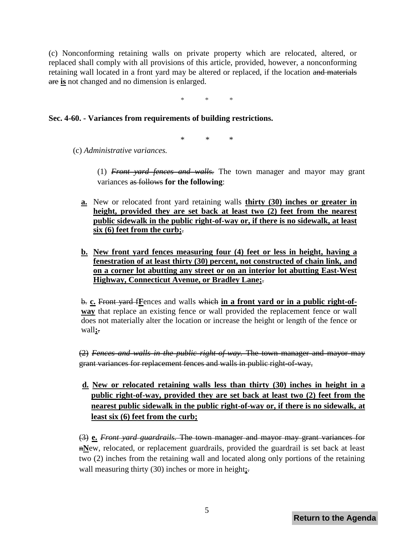(c) Nonconforming retaining walls on private property which are relocated, altered, or replaced shall comply with all provisions of this article, provided, however, a nonconforming retaining wall located in a front yard may be altered or replaced, if the location and materials are **is** not changed and no dimension is enlarged.

\* \* \*

#### **Sec. 4-60. - Variances from requirements of building restrictions.**

\* \* \*

(c) *Administrative variances.*

- (1) *Front yard fences and walls.* The town manager and mayor may grant variances as follows **for the following**:
- **a.** New or relocated front yard retaining walls **thirty (30) inches or greater in height, provided they are set back at least two (2) feet from the nearest public sidewalk in the public right-of-way or, if there is no sidewalk, at least six (6) feet from the curb;**.
- **b. New front yard fences measuring four (4) feet or less in height, having a fenestration of at least thirty (30) percent, not constructed of chain link, and on a corner lot abutting any street or on an interior lot abutting East-West Highway, Connecticut Avenue, or Bradley Lane;**.

b. **c.** Front yard f**F**ences and walls which **in a front yard or in a public right-ofway** that replace an existing fence or wall provided the replacement fence or wall does not materially alter the location or increase the height or length of the fence or wall**;**.

(2) *Fences and walls in the public right-of-way.* The town manager and mayor may grant variances for replacement fences and walls in public right-of-way,

**d. New or relocated retaining walls less than thirty (30) inches in height in a public right-of-way, provided they are set back at least two (2) feet from the nearest public sidewalk in the public right-of-way or, if there is no sidewalk, at least six (6) feet from the curb;**

(3) **e.** *Front yard guardrails.* The town manager and mayor may grant variances for n**N**ew, relocated, or replacement guardrails, provided the guardrail is set back at least two (2) inches from the retaining wall and located along only portions of the retaining wall measuring thirty (30) inches or more in height**;**.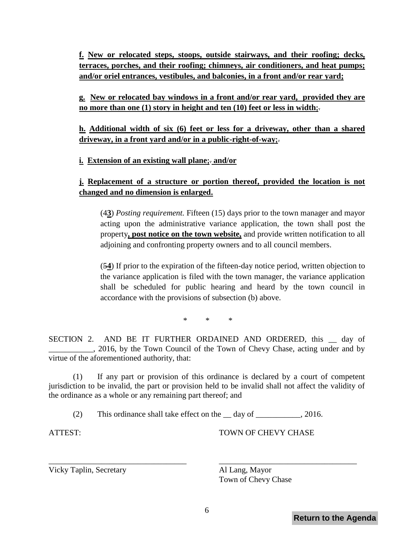**f. New or relocated steps, stoops, outside stairways, and their roofing; decks, terraces, porches, and their roofing; chimneys, air conditioners, and heat pumps; and/or oriel entrances, vestibules, and balconies, in a front and/or rear yard;** 

**g. New or relocated bay windows in a front and/or rear yard, provided they are no more than one (1) story in height and ten (10) feet or less in width;**.

**h. Additional width of six (6) feet or less for a driveway, other than a shared driveway, in a front yard and/or in a public-right-of-way;**.

**i. Extension of an existing wall plane;**. **and/or**

# **j. Replacement of a structure or portion thereof, provided the location is not changed and no dimension is enlarged.**

(4**3**) *Posting requirement.* Fifteen (15) days prior to the town manager and mayor acting upon the administrative variance application, the town shall post the property**, post notice on the town website,** and provide written notification to all adjoining and confronting property owners and to all council members.

(5**4**) If prior to the expiration of the fifteen-day notice period, written objection to the variance application is filed with the town manager, the variance application shall be scheduled for public hearing and heard by the town council in accordance with the provisions of subsection (b) above.

\* \* \*

SECTION 2. AND BE IT FURTHER ORDAINED AND ORDERED, this \_\_ day of 2016, by the Town Council of the Town of Chevy Chase, acting under and by virtue of the aforementioned authority, that:

(1) If any part or provision of this ordinance is declared by a court of competent jurisdiction to be invalid, the part or provision held to be invalid shall not affect the validity of the ordinance as a whole or any remaining part thereof; and

(2) This ordinance shall take effect on the \_\_ day of \_\_\_\_\_\_\_\_\_\_\_, 2016.

\_\_\_\_\_\_\_\_\_\_\_\_\_\_\_\_\_\_\_\_\_\_\_\_\_\_\_\_\_\_\_\_\_\_ \_\_\_\_\_\_\_\_\_\_\_\_\_\_\_\_\_\_\_\_\_\_\_\_\_\_\_\_\_\_\_\_\_\_

ATTEST: TOWN OF CHEVY CHASE

Vicky Taplin, Secretary Al Lang, Mayor

Town of Chevy Chase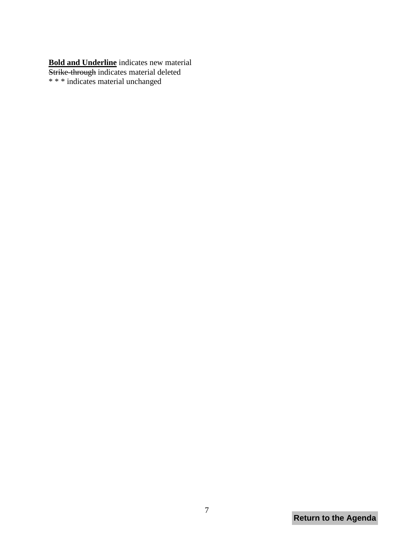**Bold and Underline** indicates new material Strike-through indicates material deleted \* \* \* indicates material unchanged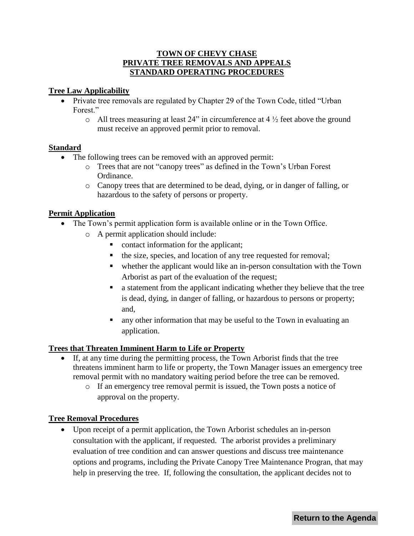# **TOWN OF CHEVY CHASE PRIVATE TREE REMOVALS AND APPEALS STANDARD OPERATING PROCEDURES**

# <span id="page-13-0"></span>**Tree Law Applicability**

- Private tree removals are regulated by Chapter 29 of the Town Code, titled "Urban" Forest."
	- $\circ$  All trees measuring at least 24" in circumference at 4  $\frac{1}{2}$  feet above the ground must receive an approved permit prior to removal.

# **Standard**

- The following trees can be removed with an approved permit:
	- o Trees that are not "canopy trees" as defined in the Town's Urban Forest Ordinance.
	- o Canopy trees that are determined to be dead, dying, or in danger of falling, or hazardous to the safety of persons or property.

# **Permit Application**

- The Town's permit application form is available online or in the Town Office.
	- o A permit application should include:
		- contact information for the applicant;
		- the size, species, and location of any tree requested for removal;
		- whether the applicant would like an in-person consultation with the Town Arborist as part of the evaluation of the request;
		- a statement from the applicant indicating whether they believe that the tree is dead, dying, in danger of falling, or hazardous to persons or property; and,
		- any other information that may be useful to the Town in evaluating an application.

# **Trees that Threaten Imminent Harm to Life or Property**

- If, at any time during the permitting process, the Town Arborist finds that the tree threatens imminent harm to life or property, the Town Manager issues an emergency tree removal permit with no mandatory waiting period before the tree can be removed.
	- o If an emergency tree removal permit is issued, the Town posts a notice of approval on the property.

# **Tree Removal Procedures**

 Upon receipt of a permit application, the Town Arborist schedules an in-person consultation with the applicant, if requested. The arborist provides a preliminary evaluation of tree condition and can answer questions and discuss tree maintenance options and programs, including the Private Canopy Tree Maintenance Progran, that may help in preserving the tree. If, following the consultation, the applicant decides not to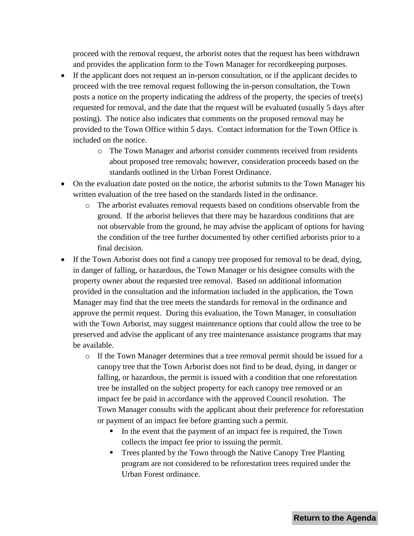proceed with the removal request, the arborist notes that the request has been withdrawn and provides the application form to the Town Manager for recordkeeping purposes.

- If the applicant does not request an in-person consultation, or if the applicant decides to proceed with the tree removal request following the in-person consultation, the Town posts a notice on the property indicating the address of the property, the species of tree(s) requested for removal, and the date that the request will be evaluated (usually 5 days after posting). The notice also indicates that comments on the proposed removal may be provided to the Town Office within 5 days. Contact information for the Town Office is included on the notice.
	- o The Town Manager and arborist consider comments received from residents about proposed tree removals; however, consideration proceeds based on the standards outlined in the Urban Forest Ordinance.
- On the evaluation date posted on the notice, the arborist submits to the Town Manager his written evaluation of the tree based on the standards listed in the ordinance.
	- o The arborist evaluates removal requests based on conditions observable from the ground. If the arborist believes that there may be hazardous conditions that are not observable from the ground, he may advise the applicant of options for having the condition of the tree further documented by other certified arborists prior to a final decision.
- If the Town Arborist does not find a canopy tree proposed for removal to be dead, dying, in danger of falling, or hazardous, the Town Manager or his designee consults with the property owner about the requested tree removal. Based on additional information provided in the consultation and the information included in the application, the Town Manager may find that the tree meets the standards for removal in the ordinance and approve the permit request. During this evaluation, the Town Manager, in consultation with the Town Arborist, may suggest maintenance options that could allow the tree to be preserved and advise the applicant of any tree maintenance assistance programs that may be available.
	- $\circ$  If the Town Manager determines that a tree removal permit should be issued for a canopy tree that the Town Arborist does not find to be dead, dying, in danger or falling, or hazardous, the permit is issued with a condition that one reforestation tree be installed on the subject property for each canopy tree removed or an impact fee be paid in accordance with the approved Council resolution. The Town Manager consults with the applicant about their preference for reforestation or payment of an impact fee before granting such a permit.
		- In the event that the payment of an impact fee is required, the Town collects the impact fee prior to issuing the permit.
		- Trees planted by the Town through the Native Canopy Tree Planting program are not considered to be reforestation trees required under the Urban Forest ordinance.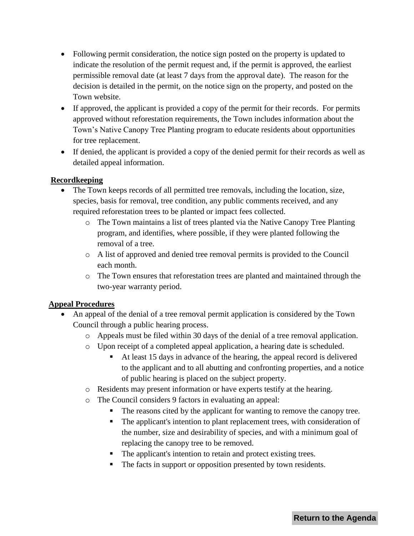- Following permit consideration, the notice sign posted on the property is updated to indicate the resolution of the permit request and, if the permit is approved, the earliest permissible removal date (at least 7 days from the approval date). The reason for the decision is detailed in the permit, on the notice sign on the property, and posted on the Town website.
- If approved, the applicant is provided a copy of the permit for their records. For permits approved without reforestation requirements, the Town includes information about the Town's Native Canopy Tree Planting program to educate residents about opportunities for tree replacement.
- If denied, the applicant is provided a copy of the denied permit for their records as well as detailed appeal information.

# **Recordkeeping**

- The Town keeps records of all permitted tree removals, including the location, size, species, basis for removal, tree condition, any public comments received, and any required reforestation trees to be planted or impact fees collected.
	- o The Town maintains a list of trees planted via the Native Canopy Tree Planting program, and identifies, where possible, if they were planted following the removal of a tree.
	- o A list of approved and denied tree removal permits is provided to the Council each month.
	- o The Town ensures that reforestation trees are planted and maintained through the two-year warranty period.

# **Appeal Procedures**

- An appeal of the denial of a tree removal permit application is considered by the Town Council through a public hearing process.
	- o Appeals must be filed within 30 days of the denial of a tree removal application.
	- o Upon receipt of a completed appeal application, a hearing date is scheduled.
		- At least 15 days in advance of the hearing, the appeal record is delivered to the applicant and to all abutting and confronting properties, and a notice of public hearing is placed on the subject property.
	- o Residents may present information or have experts testify at the hearing.
	- o The Council considers 9 factors in evaluating an appeal:
		- The reasons cited by the applicant for wanting to remove the canopy tree.
		- The applicant's intention to plant replacement trees, with consideration of the number, size and desirability of species, and with a minimum goal of replacing the canopy tree to be removed.
		- The applicant's intention to retain and protect existing trees.
		- The facts in support or opposition presented by town residents.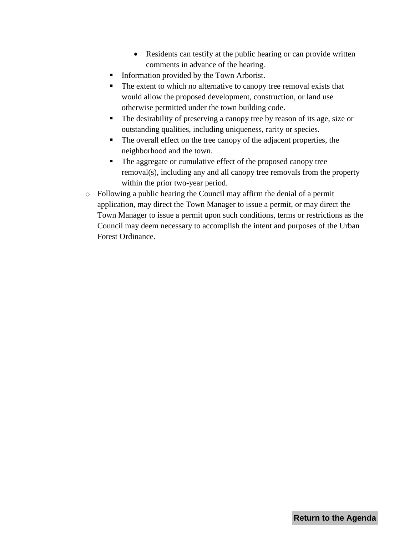- Residents can testify at the public hearing or can provide written comments in advance of the hearing.
- Information provided by the Town Arborist.
- The extent to which no alternative to canopy tree removal exists that would allow the proposed development, construction, or land use otherwise permitted under the town building code.
- The desirability of preserving a canopy tree by reason of its age, size or outstanding qualities, including uniqueness, rarity or species.
- The overall effect on the tree canopy of the adjacent properties, the neighborhood and the town.
- The aggregate or cumulative effect of the proposed canopy tree removal(s), including any and all canopy tree removals from the property within the prior two-year period.
- o Following a public hearing the Council may affirm the denial of a permit application, may direct the Town Manager to issue a permit, or may direct the Town Manager to issue a permit upon such conditions, terms or restrictions as the Council may deem necessary to accomplish the intent and purposes of the Urban Forest Ordinance.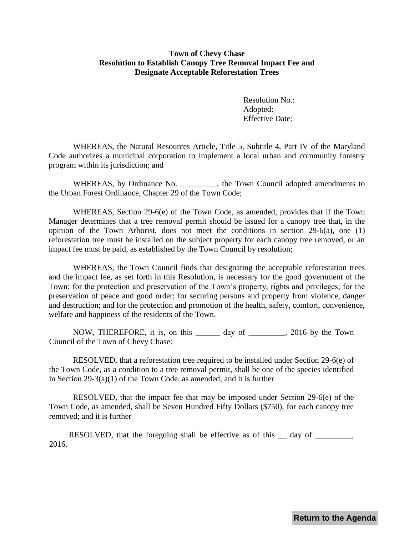## <span id="page-17-0"></span>**Town of Chevy Chase Resolution to Establish Canopy Tree Removal Impact Fee and Designate Acceptable Reforestation Trees**

Resolution No.: Adopted: Effective Date:

WHEREAS, the Natural Resources Article, Title 5, Subtitle 4, Part IV of the Maryland Code authorizes a municipal corporation to implement a local urban and community forestry program within its jurisdiction; and

WHEREAS, by Ordinance No. \_\_\_\_\_\_\_\_, the Town Council adopted amendments to the Urban Forest Ordinance, Chapter 29 of the Town Code;

WHEREAS, Section 29-6(e) of the Town Code, as amended, provides that if the Town Manager determines that a tree removal permit should be issued for a canopy tree that, in the opinion of the Town Arborist, does not meet the conditions in section 29-6(a), one (1) reforestation tree must be installed on the subject property for each canopy tree removed, or an impact fee must be paid, as established by the Town Council by resolution;

WHEREAS, the Town Council finds that designating the acceptable reforestation trees and the impact fee, as set forth in this Resolution, is necessary for the good government of the Town; for the protection and preservation of the Town's property, rights and privileges; for the preservation of peace and good order; for securing persons and property from violence, danger and destruction; and for the protection and promotion of the health, safety, comfort, convenience, welfare and happiness of the residents of the Town.

NOW, THEREFORE, it is, on this \_\_\_\_\_\_ day of \_\_\_\_\_\_\_\_\_, 2016 by the Town Council of the Town of Chevy Chase:

RESOLVED, that a reforestation tree required to be installed under Section 29-6(e) of the Town Code, as a condition to a tree removal permit, shall be one of the species identified in Section 29-3(a)(1) of the Town Code, as amended; and it is further

RESOLVED, that the impact fee that may be imposed under Section 29-6(e) of the Town Code, as amended, shall be Seven Hundred Fifty Dollars (\$750), for each canopy tree removed; and it is further

RESOLVED, that the foregoing shall be effective as of this day of . 2016.